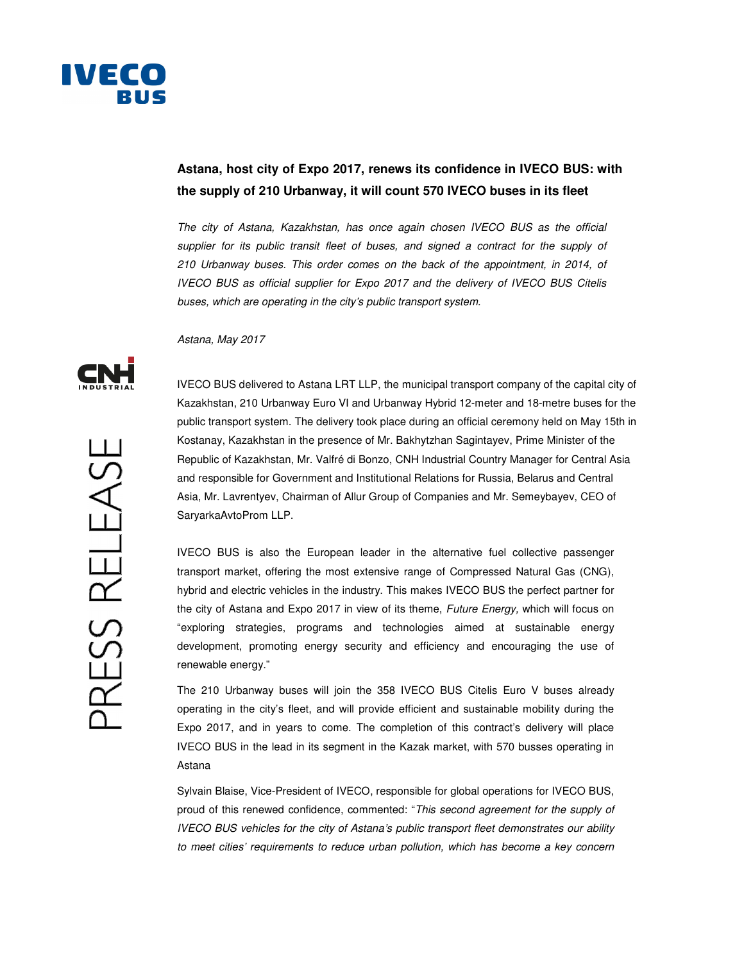

## **Astana, host city of Expo 2017, renews its confidence in IVECO BUS: with the supply of 210 Urbanway, it will count 570 IVECO buses in its fleet**

The city of Astana, Kazakhstan, has once again chosen IVECO BUS as the official supplier for its public transit fleet of buses, and signed a contract for the supply of 210 Urbanway buses. This order comes on the back of the appointment, in 2014, of IVECO BUS as official supplier for Expo 2017 and the delivery of IVECO BUS Citelis buses, which are operating in the city's public transport system.

Astana, May 2017



IVECO BUS delivered to Astana LRT LLP, the municipal transport company of the capital city of Kazakhstan, 210 Urbanway Euro VI and Urbanway Hybrid 12-meter and 18-metre buses for the public transport system. The delivery took place during an official ceremony held on May 15th in Kostanay, Kazakhstan in the presence of Mr. Bakhytzhan Sagintayev, Prime Minister of the Republic of Kazakhstan, Mr. Valfré di Bonzo, CNH Industrial Country Manager for Central Asia and responsible for Government and Institutional Relations for Russia, Belarus and Central Asia, Mr. Lavrentyev, Chairman of Allur Group of Companies and Mr. Semeybayev, CEO of SaryarkaAvtoProm LLP.

IVECO BUS is also the European leader in the alternative fuel collective passenger transport market, offering the most extensive range of Compressed Natural Gas (CNG), hybrid and electric vehicles in the industry. This makes IVECO BUS the perfect partner for the city of Astana and Expo 2017 in view of its theme, Future Energy, which will focus on "exploring strategies, programs and technologies aimed at sustainable energy development, promoting energy security and efficiency and encouraging the use of renewable energy."

The 210 Urbanway buses will join the 358 IVECO BUS Citelis Euro V buses already operating in the city's fleet, and will provide efficient and sustainable mobility during the Expo 2017, and in years to come. The completion of this contract's delivery will place IVECO BUS in the lead in its segment in the Kazak market, with 570 busses operating in Astana

Sylvain Blaise, Vice-President of IVECO, responsible for global operations for IVECO BUS, proud of this renewed confidence, commented: "This second agreement for the supply of IVECO BUS vehicles for the city of Astana's public transport fleet demonstrates our ability to meet cities' requirements to reduce urban pollution, which has become a key concern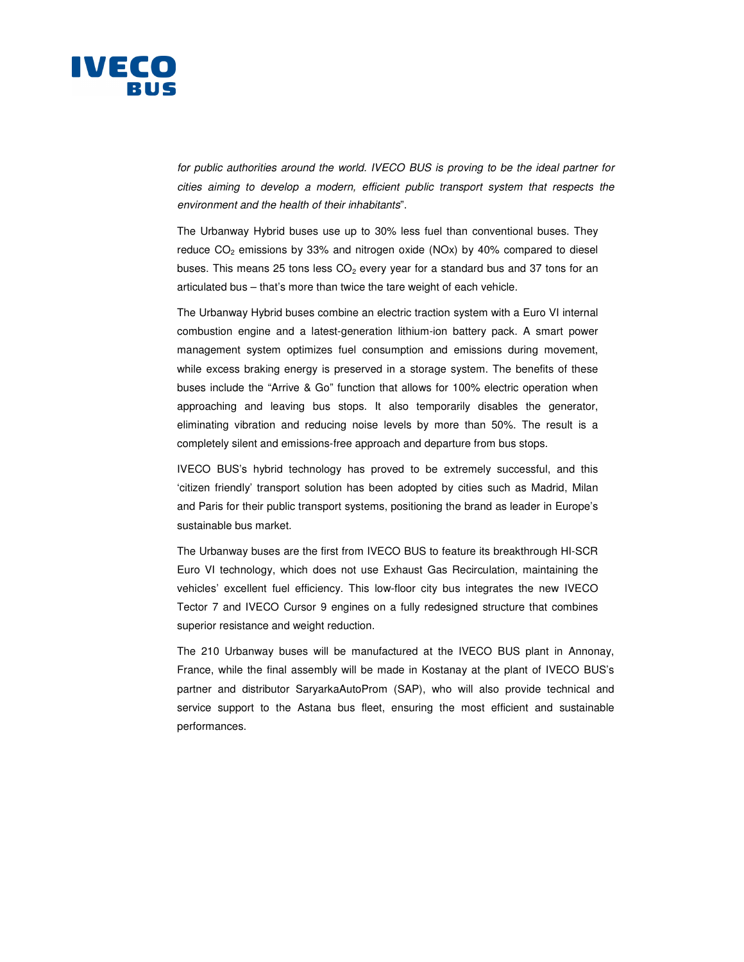

for public authorities around the world. IVECO BUS is proving to be the ideal partner for cities aiming to develop a modern, efficient public transport system that respects the environment and the health of their inhabitants".

The Urbanway Hybrid buses use up to 30% less fuel than conventional buses. They reduce  $CO<sub>2</sub>$  emissions by 33% and nitrogen oxide (NOx) by 40% compared to diesel buses. This means 25 tons less  $CO<sub>2</sub>$  every year for a standard bus and 37 tons for an articulated bus – that's more than twice the tare weight of each vehicle.

The Urbanway Hybrid buses combine an electric traction system with a Euro VI internal combustion engine and a latest-generation lithium-ion battery pack. A smart power management system optimizes fuel consumption and emissions during movement, while excess braking energy is preserved in a storage system. The benefits of these buses include the "Arrive & Go" function that allows for 100% electric operation when approaching and leaving bus stops. It also temporarily disables the generator, eliminating vibration and reducing noise levels by more than 50%. The result is a completely silent and emissions-free approach and departure from bus stops.

IVECO BUS's hybrid technology has proved to be extremely successful, and this 'citizen friendly' transport solution has been adopted by cities such as Madrid, Milan and Paris for their public transport systems, positioning the brand as leader in Europe's sustainable bus market.

The Urbanway buses are the first from IVECO BUS to feature its breakthrough HI-SCR Euro VI technology, which does not use Exhaust Gas Recirculation, maintaining the vehicles' excellent fuel efficiency. This low-floor city bus integrates the new IVECO Tector 7 and IVECO Cursor 9 engines on a fully redesigned structure that combines superior resistance and weight reduction.

The 210 Urbanway buses will be manufactured at the IVECO BUS plant in Annonay, France, while the final assembly will be made in Kostanay at the plant of IVECO BUS's partner and distributor SaryarkaAutoProm (SAP), who will also provide technical and service support to the Astana bus fleet, ensuring the most efficient and sustainable performances.